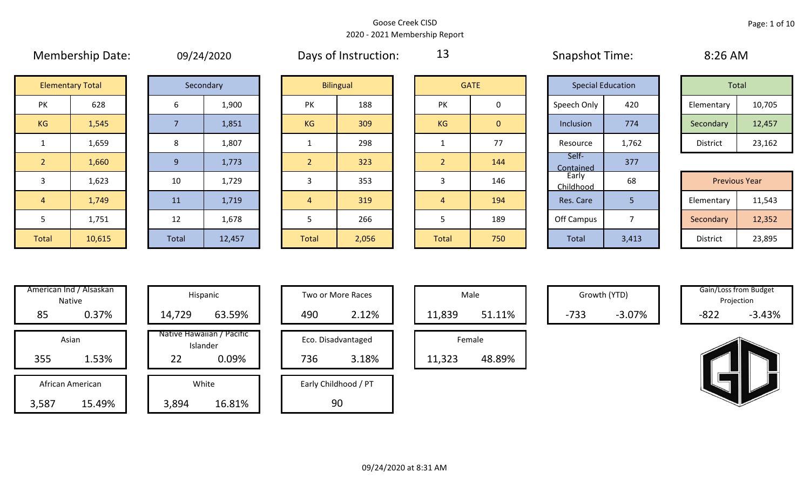| <b>IVIEIIIDEISIIID DALE.</b><br>UY/24/202 |                         |  |                |           |  |
|-------------------------------------------|-------------------------|--|----------------|-----------|--|
|                                           | <b>Elementary Total</b> |  |                | Secondary |  |
| PK                                        | 628                     |  | 6              |           |  |
| <b>KG</b>                                 | 1,545                   |  | $\overline{7}$ |           |  |
| $\mathbf{1}$                              | 1,659                   |  | 8              |           |  |
| $\overline{2}$                            | 1,660                   |  | 9              |           |  |
| 3                                         | 1,623                   |  | 10             |           |  |
| 4                                         | 1,749                   |  | 11             |           |  |
| 5                                         | 1,751                   |  | 12             |           |  |
|                                           |                         |  |                |           |  |

|  | 09/24/2020 |  |
|--|------------|--|

Membership Date: 09/24/2020 Snapshot Time: 8:26 AM Days of Instruction:

13

| Total      |        |
|------------|--------|
| Elementary | 10,705 |
| Secondary  | 12,457 |
| District   | 23,162 |

| <b>Previous Year</b> |        |  |  |  |  |  |  |
|----------------------|--------|--|--|--|--|--|--|
| Elementary           | 11,543 |  |  |  |  |  |  |
| Secondary            | 12,352 |  |  |  |  |  |  |
| <b>District</b>      | 23,895 |  |  |  |  |  |  |

| $\overline{2}$ | 1,660                   |  |  |  |  |  |
|----------------|-------------------------|--|--|--|--|--|
| 3              | 1,623                   |  |  |  |  |  |
| 4              | 1,749                   |  |  |  |  |  |
| 5              | 1,751                   |  |  |  |  |  |
| <b>Total</b>   | 10,615                  |  |  |  |  |  |
|                |                         |  |  |  |  |  |
|                | American Ind / Alsaskan |  |  |  |  |  |
|                | <b>Native</b>           |  |  |  |  |  |
| QС             |                         |  |  |  |  |  |

|       | Secondary |
|-------|-----------|
| 6     | 1,900     |
| 7     | 1,851     |
| 8     | 1,807     |
| 9     | 1,773     |
| 10    | 1,729     |
| 11    | 1,719     |
| 12    | 1,678     |
| Total | 12,457    |

|                | <b>Elementary Total</b> |       | Secondary |                | <b>Bilingual</b> |       | <b>GATE</b>    | <b>Special Education</b> |       | Total                |        |
|----------------|-------------------------|-------|-----------|----------------|------------------|-------|----------------|--------------------------|-------|----------------------|--------|
| PK             | 628                     | 6     | 1,900     | PK             | 188              | PK    | 0              | Speech Only              | 420   | Elementary           | 10,705 |
| KG             | 1,545                   |       | 1,851     | KG             | 309              | KG    | $\overline{0}$ | Inclusion                | 774   | Secondary            | 12,457 |
|                | 1,659                   | 8     | 1,807     |                | 298              |       | 77             | Resource                 | 1,762 | District             | 23,162 |
| $\sqrt{2}$     | 1,660                   | 9     | 1,773     | $\overline{2}$ | 323              |       | 144            | Self-<br>Contained       | 377   |                      |        |
| $\overline{3}$ | 1,623                   | 10    | 1,729     |                | 353              | 5     | 146            | Early<br>Childhood       | 68    | <b>Previous Year</b> |        |
| $\overline{4}$ | 1,749                   | 11    | 1,719     | $\overline{4}$ | 319              | 4     | 194            | Res. Care                | 5     | Elementary           | 11,543 |
| 5              | 1,751                   | 12    | 1,678     |                | 266              |       | 189            | Off Campus               | ⇁     | Secondary            | 12,352 |
| Total          | 10,615                  | Total | 12,457    | Total          | 2,056            | Total | 750            | <b>Total</b>             | 3,413 | District             | 23,895 |

|                | <b>GATE</b>    |
|----------------|----------------|
| PK             | 0              |
| KG             | $\overline{0}$ |
| $\mathbf 1$    | 77             |
| $\overline{2}$ | 144            |
| 3              | 146            |
| 4              | 194            |
| 5              | 189            |
| <b>Total</b>   | 750            |

|                    | <b>Special Education</b> |  | Total           |                      |  |  |  |
|--------------------|--------------------------|--|-----------------|----------------------|--|--|--|
| Speech Only        | 420<br>Inclusion<br>774  |  | Elementary      | 10,705               |  |  |  |
|                    |                          |  | Secondary       | 12,457               |  |  |  |
| Resource           | 1,762                    |  | <b>District</b> | 23,162               |  |  |  |
| Self-<br>Contained | 377                      |  |                 |                      |  |  |  |
| Early<br>Childhood | 68                       |  |                 | <b>Previous Year</b> |  |  |  |
| Res. Care          | 5                        |  | Elementary      | 11,543               |  |  |  |
| Off Campus         | 7                        |  | Secondary       | 12,352               |  |  |  |
| <b>Total</b>       | 3,413                    |  | <b>District</b> | 23,895               |  |  |  |

|       | American Ind / Alsaskan<br><b>Native</b> | Hispani                    |
|-------|------------------------------------------|----------------------------|
| 85    | 0.37%                                    | 14,729                     |
|       | Asian                                    | Native Hawaiiai<br>Islande |
| 355   | 1.53%                                    | 22                         |
|       | African American                         | White                      |
| 3,587 | 15.49%                                   | 3,894                      |

|                  | <u>IIEHLAH IIIU / AISASKAH</u><br>Hispanic<br>Native |       |        |                                       | Two or More Races |                    | Male   |        | Growth (YTD) |          | Gain/Loss from Budget<br>Projection |          |
|------------------|------------------------------------------------------|-------|--------|---------------------------------------|-------------------|--------------------|--------|--------|--------------|----------|-------------------------------------|----------|
| 85               | 0.37%                                                |       | 14,729 | 63.59%                                | 490               | 2.12%              | 11,839 | 51.11% | $-733$       | $-3.07%$ | $-822$                              | $-3.43%$ |
| Asian            |                                                      |       |        | Native Hawaiian / Pacific<br>Islander |                   | Eco. Disadvantaged |        | Female |              |          |                                     |          |
| 355              | 1.53%                                                |       | 22     | 0.09%                                 | 736               | 3.18%              | 11,323 | 48.89% |              |          |                                     |          |
| African American |                                                      | White |        | Early Childhood / PT                  |                   |                    |        |        |              |          |                                     |          |
| ,587             | 15.49%                                               |       | 3,894  | 16.81%                                |                   | 90                 |        |        |              |          |                                     |          |

| Hispanic                       |  |              | <b>Two or More Races</b> |  |        | Male   |
|--------------------------------|--|--------------|--------------------------|--|--------|--------|
| 63.59%                         |  | 2.12%<br>490 |                          |  | 11,839 |        |
| lawaiian / Pacific<br>Islander |  |              | Eco. Disadvantaged       |  |        | Female |
| 0.09%                          |  | 736          | 3.18%                    |  | 11,323 |        |
| White                          |  |              | Early Childhood / PT     |  |        |        |
| 16.81%                         |  |              | 90                       |  |        |        |

|        | Male   |  |  |  |  |  |  |  |  |  |
|--------|--------|--|--|--|--|--|--|--|--|--|
| 11,839 | 51.11% |  |  |  |  |  |  |  |  |  |
| Female |        |  |  |  |  |  |  |  |  |  |
| 11,323 | 48.89% |  |  |  |  |  |  |  |  |  |

Gain/Loss from Budget<br>
Gain/Loss from Budget Projection

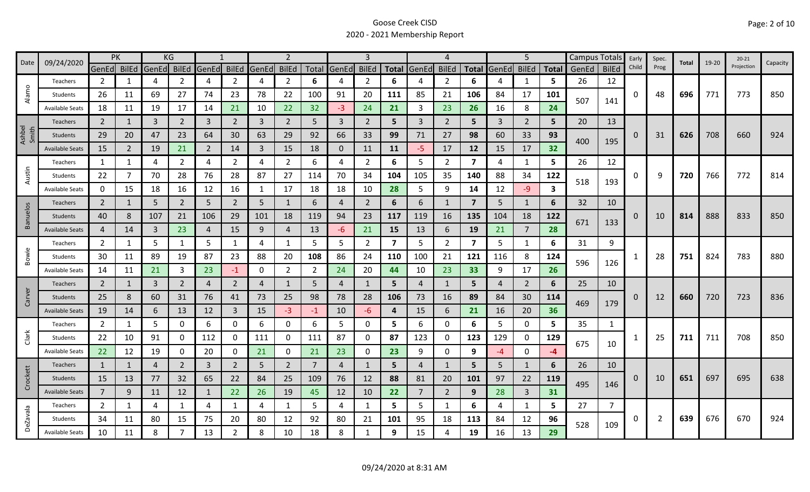|                 | 09/24/2020             | PK             |                | KG             |                |                |                |       | $\overline{2}$ |                |              |                |     |                | 4              |                         |                | 5              |              |       | Campus Totals  | Early    | Spec. | Total | 19-20 | $20 - 21$  |          |
|-----------------|------------------------|----------------|----------------|----------------|----------------|----------------|----------------|-------|----------------|----------------|--------------|----------------|-----|----------------|----------------|-------------------------|----------------|----------------|--------------|-------|----------------|----------|-------|-------|-------|------------|----------|
| Date            |                        | GenEd BilEd    |                | GenEd BilEd    |                | GenEd          | <b>BilEd</b>   | GenEd | <b>BilEd</b>   |                | Total GenEd  | <b>BilEd</b>   |     | Total GenEd    | <b>BilEd</b>   | <b>Total</b>            | GenEd          | <b>BilEd</b>   | <b>Total</b> | GenEd | <b>BilEd</b>   | Child    | Prog  |       |       | Projection | Capacity |
|                 | Teachers               | $\overline{2}$ | 1              | 4              | 2              | 4              | $\overline{2}$ | 4     | $\overline{2}$ | 6              | 4            | 2              | 6   |                | 2              | 6                       |                | 1              | 5            | 26    | 12             |          |       |       |       |            |          |
| Alamo           | Students               | 26             | 11             | 69             | 27             | 74             | 23             | 78    | 22             | 100            | 91           | 20             | 111 | 85             | 21             | 106                     | 84             | 17             | 101          | 507   | 141            | 0        | 48    | 696   | 771   | 773        | 850      |
|                 | <b>Available Seats</b> | 18             | 11             | 19             | 17             | 14             | 21             | 10    | 22             | 32             | $-3$         | 24             | 21  | 3              | 23             | 26                      | 16             | 8              | 24           |       |                |          |       |       |       |            |          |
|                 | Teachers               | $\overline{2}$ |                | $\overline{3}$ | $\overline{2}$ | $\overline{3}$ | $\overline{2}$ | 3     | $\overline{2}$ | 5              | 3            | $\overline{2}$ | 5   | $\mathbf{3}$   | 2              | 5                       | $\overline{3}$ | $\overline{2}$ | 5            | 20    | 13             |          |       |       |       |            |          |
| Ashbel<br>Smith | Students               | 29             | 20             | 47             | 23             | 64             | 30             | 63    | 29             | 92             | 66           | 33             | 99  | 71             | 27             | 98                      | 60             | 33             | 93           | 400   | 195            | $\Omega$ | 31    | 626   | 708   | 660        | 924      |
|                 | <b>Available Seats</b> | 15             | $\overline{2}$ | 19             | 21             | $\overline{2}$ | 14             | 3     | 15             | 18             | $\mathbf{0}$ | 11             | 11  | $-5$           | 17             | 12                      | 15             | 17             | 32           |       |                |          |       |       |       |            |          |
|                 | Teachers               | 1              | 1              | 4              | 2              | 4              | $\overline{2}$ | 4     | $\overline{2}$ | 6              | 4            | $\overline{2}$ | 6   | 5              | $\overline{2}$ | $\overline{\mathbf{z}}$ | 4              | 1              | 5            | 26    | 12             |          |       |       |       |            |          |
| Austin          | Students               | 22             | 7              | 70             | 28             | 76             | 28             | 87    | 27             | 114            | 70           | 34             | 104 | 105            | 35             | 140                     | 88             | 34             | 122          | 518   | 193            | 0        | 9     | 720   | 766   | 772        | 814      |
|                 | <b>Available Seats</b> | 0              | 15             | 18             | 16             | 12             | 16             | 1     | 17             | 18             | 18           | 10             | 28  | 5              | 9              | 14                      | 12             | $-9$           | 3            |       |                |          |       |       |       |            |          |
|                 | <b>Teachers</b>        | $\overline{2}$ | 1              | 5              | $\overline{2}$ | 5              | $\overline{2}$ | 5     | 1              | 6              | 4            | $\overline{2}$ | 6   | 6              | -1             | $\overline{7}$          | 5              | 1              | 6            | 32    | 10             |          |       |       |       |            |          |
| Banuelos        | Students               | 40             | 8              | 107            | 21             | 106            | 29             | 101   | 18             | 119            | 94           | 23             | 117 | 119            | 16             | 135                     | 104            | 18             | 122          |       |                | 0        | 10    | 814   | 888   | 833        | 850      |
|                 | <b>Available Seats</b> | 4              | 14             | 3              | 23             | 4              | 15             | 9     | 4              | 13             | -6           | 21             | 15  | 13             | 6              | 19                      | 21             | $\overline{7}$ | 28           | 671   | 133            |          |       |       |       |            |          |
|                 | Teachers               | $\overline{2}$ | 1              | 5              | $\mathbf{1}$   | 5              | $\mathbf{1}$   | 4     | $\mathbf{1}$   | 5              | 5            | $\overline{2}$ | 7   | 5              | $\overline{2}$ | $\overline{\mathbf{z}}$ | 5              | $\mathbf{1}$   | 6            | 31    | 9              |          |       |       |       |            |          |
| Bowie           | Students               | 30             | 11             | 89             | 19             | 87             | 23             | 88    | 20             | 108            | 86           | 24             | 110 | 100            | 21             | 121                     | 116            | 8              | 124          | 596   |                |          | 28    | 751   | 824   | 783        | 880      |
|                 | <b>Available Seats</b> | 14             | 11             | 21             | 3              | 23             | $-1$           | 0     | $\overline{2}$ | $\overline{2}$ | 24           | 20             | 44  | 10             | 23             | 33                      | 9              | 17             | 26           |       | 126            |          |       |       |       |            |          |
|                 | Teachers               | $\overline{2}$ | 1              | 3              | $\overline{2}$ | $\overline{4}$ | $\overline{2}$ | 4     | 1              | 5              | 4            |                | 5   | 4              | 1              | 5                       | 4              | $\overline{2}$ | 6            | 25    | 10             |          |       |       |       |            |          |
| Carver          | <b>Students</b>        | 25             | 8              | 60             | 31             | 76             | 41             | 73    | 25             | 98             | 78           | 28             | 106 | 73             | 16             | 89                      | 84             | 30             | 114          | 469   | 179            | 0        | 12    | 660   | 720   | 723        | 836      |
|                 | <b>Available Seats</b> | 19             | 14             | 6              | 13             | 12             | $\mathbf{3}$   | 15    | $-3$           | $-1$           | 10           | -6             | 4   | 15             | 6              | 21                      | 16             | 20             | 36           |       |                |          |       |       |       |            |          |
|                 | Teachers               | $\overline{2}$ | 1              | 5              | $\mathbf 0$    | 6              | 0              | 6     | 0              | 6              | 5.           | 0              | 5   | 6              | 0              | 6                       | 5              | $\mathbf 0$    | 5            | 35    | 1              |          |       |       |       |            |          |
| Clark           | Students               | 22             | 10             | 91             | 0              | 112            | $\mathbf{0}$   | 111   | 0              | 111            | 87           | 0              | 87  | 123            | 0              | 123                     | 129            | 0              | 129          | 675   | 10             |          | 25    | 711   | 711   | 708        | 850      |
|                 | <b>Available Seats</b> | 22             | 12             | 19             | 0              | 20             | 0              | 21    | $\mathbf 0$    | 21             | 23           | 0              | 23  | 9              | 0              | 9                       | -4             | $\mathbf 0$    | $-4$         |       |                |          |       |       |       |            |          |
|                 | Teachers               | $\mathbf{1}$   | 1              | $\overline{4}$ | $\overline{2}$ | 3              | $\overline{2}$ | 5     | $\overline{2}$ | $\overline{7}$ | 4            |                | 5   | $\overline{4}$ | $\mathbf{1}$   | 5                       | 5              | 1              | 6            | 26    | 10             |          |       |       |       |            |          |
| Crockett        | Students               | 15             | 13             | 77             | 32             | 65             | 22             | 84    | 25             | 109            | 76           | 12             | 88  | 81             | 20             | 101                     | 97             | 22             | 119          | 495   | 146            | 0        | 10    | 651   | 697   | 695        | 638      |
|                 | <b>Available Seats</b> | $\overline{7}$ | 9              | 11             | 12             | -1             | 22             | 26    | 19             | 45             | 12           | 10             | 22  | $\overline{7}$ | 2              | 9                       | 28             | $\overline{3}$ | 31           |       |                |          |       |       |       |            |          |
|                 | Teachers               | $\overline{2}$ | 1              | 4              | 1              | 4              | $\mathbf{1}$   | 4     | $\mathbf{1}$   | 5              | 4            | 1              | 5   | 5              | -1             | 6                       | 4              | $\mathbf{1}$   | 5.           | 27    | $\overline{7}$ |          |       |       |       |            |          |
| DeZavala        | Students               | 34             | 11             | 80             | 15             | 75             | 20             | 80    | 12             | 92             | 80           | 21             | 101 | 95             | 18             | 113                     | 84             | 12             | 96           | 528   | 109            | 0        | 2     | 639   | 676   | 670        | 924      |
|                 | <b>Available Seats</b> | 10             | 11             | 8              |                | 13             | 2              | 8     | 10             | 18             | 8            |                | 9   | 15             | 4              | 19                      | 16             | 13             | 29           |       |                |          |       |       |       |            |          |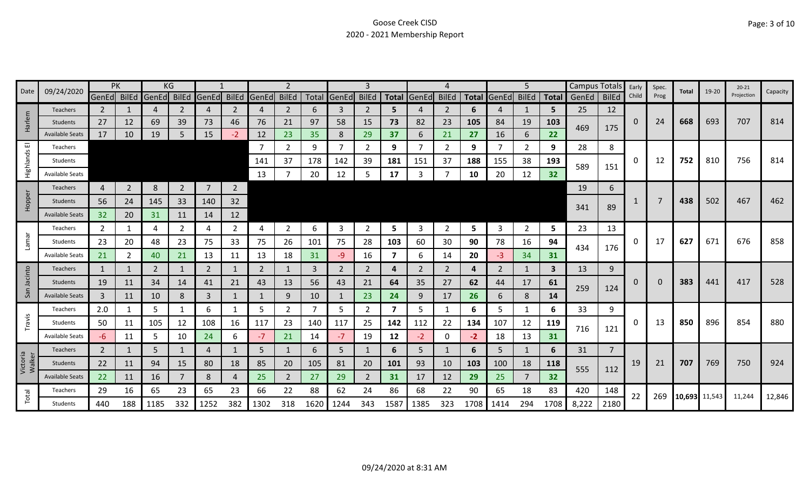| 09/24/2020<br>Date |                        | PK             |                | ΚG           |                |                   |                | 2            |                |      | 3           |                |                |       |              |              | 5            |                | Campus Totals |       | Early          | Spec. | Total    | 19-20         | $20 - 21$ | Capacity   |        |
|--------------------|------------------------|----------------|----------------|--------------|----------------|-------------------|----------------|--------------|----------------|------|-------------|----------------|----------------|-------|--------------|--------------|--------------|----------------|---------------|-------|----------------|-------|----------|---------------|-----------|------------|--------|
|                    |                        | GenEd BilEd    |                | <b>GenEd</b> |                | BilEd GenEd BilEd |                | <b>GenEd</b> | <b>BilEd</b>   |      | Total GenEd | <b>BilEd</b>   | <b>Total</b>   | GenEd | <b>BilEd</b> | <b>Total</b> | <b>GenEd</b> | <b>BilEd</b>   | <b>Total</b>  | GenEd | <b>BilEd</b>   | Child | Prog     |               |           | Projection |        |
|                    | <b>Teachers</b>        | $\mathbf{2}$   |                | 4            | 2              | $\overline{4}$    | 2              | 4            | $\overline{2}$ | 6    | 3           | 2              | 5              |       | 2            | 6            | 4            | -1             | 5.            | 25    | 12             |       |          |               |           |            |        |
| Harlem             | <b>Students</b>        | 27             | 12             | 69           | 39             | 73                | 46             | 76           | 21             | 97   | 58          | 15             | 73             | 82    | 23           | 105          | 84           | 19             | 103           | 469   | 175            | 0     | 24       | 668           | 693       | 707        | 814    |
|                    | <b>Available Seats</b> | 17             | 10             | 19           | 5              | 15                | $-2$           | 12           | 23             | 35   | 8           | 29             | 37             | 6     | 21           | 27           | 16           | 6              | 22            |       |                |       |          |               |           |            |        |
| ш                  | Teachers               |                |                |              |                |                   |                | -7           | $\mathbf{2}$   | 9    | 7           | $\overline{2}$ | 9              |       | 2            | 9            | 7            | $\overline{2}$ | 9             | 28    | 8              |       |          |               |           |            |        |
| Highlands          | Students               |                |                |              |                |                   |                | 141          | 37             | 178  | 142         | 39             | 181            | 151   | 37           | 188          | 155          | 38             | 193           | 589   | 151            | 0     | 12       | 752           | 810       | 756        | 814    |
|                    | <b>Available Seats</b> |                |                |              |                |                   |                | 13           |                | 20   | 12          | 5              | 17             |       |              | 10           | 20           | 12             | 32            |       |                |       |          |               |           |            |        |
|                    | Teachers               | 4              | $\overline{2}$ | 8            | $\overline{2}$ | $\overline{7}$    | $\overline{2}$ |              |                |      |             |                |                |       |              |              |              |                |               | 19    | 6              |       |          |               |           |            |        |
| Hopper             | Students               | 56             | 24             | 145          | 33             | 140               | 32             |              |                |      |             |                |                |       |              |              |              |                |               |       |                |       |          | 438           | 502       | 467        | 462    |
|                    | <b>Available Seats</b> | 32             | 20             | 31           | 11             | 14                | 12             |              |                |      |             |                |                |       |              |              |              |                |               | 341   | 89             |       |          |               |           |            |        |
|                    | Teachers               | 2              | 1              | 4            | 2              | 4                 | $\overline{2}$ | 4            | $\overline{2}$ | 6    | 3           | 2              | 5.             | 3     | 2            | 5            | 3            | $\overline{2}$ | 5.            | 23    | 13             |       |          |               |           |            |        |
| <b>Lamar</b>       | Students               | 23             | 20             | 48           | 23             | 75                | 33             | 75           | 26             | 101  | 75          | 28             | 103            | 60    | 30           | 90           | 78           | 16             | 94            |       |                | 0     | 17       | 627           | 671       | 676        | 858    |
|                    | <b>Available Seats</b> | 21             | 2              | 40           | 21             | 13                | 11             | 13           | 18             | 31   | $-9$        | 16             | 7              | 6     | 14           | 20           | -3           | 34             | 31            | 434   | 176            |       |          |               |           |            |        |
|                    | Teachers               | 1              | 1              | 2            |                | 2                 | 1              | 2            | 1              | 3    | 2           | 2              | 4              | 2     | 2            | 4            | 2            | 1              | $\mathbf{3}$  | 13    | 9              |       |          |               |           |            |        |
| Jacinto            | Students               | 19             | 11             | 34           | 14             | 41                | 21             | 43           | 13             | 56   | 43          | 21             | 64             | 35    | 27           | 62           | 44           | 17             | 61            |       |                | 0     | $\Omega$ | 383           | 441       | 417        | 528    |
| San                | <b>Available Seats</b> | 3              | 11             | 10           | 8              | 3                 | $\mathbf{1}$   | $\mathbf 1$  | 9              | 10   | 1           | 23             | 24             | 9     | 17           | 26           | 6            | 8              | 14            | 259   | 124            |       |          |               |           |            |        |
|                    | Teachers               | 2.0            | 1              | 5            |                | 6                 | 1              | 5            | $\overline{2}$ | 7    | 5           | 2              | $\overline{7}$ | 5     | 1            | 6            | 5            | 1              | 6             | 33    | 9              |       |          |               |           |            |        |
| Travis             | Students               | 50             | 11             | 105          | 12             | 108               | 16             | 117          | 23             | 140  | 117         | 25             | 142            | 112   | 22           | 134          | 107          | 12             | 119           |       |                | 0     | 13       | 850           | 896       | 854        | 880    |
|                    | <b>Available Seats</b> | $-6$           | 11             | 5            | 10             | 24                | 6              | $-7$         | 21             | 14   | $-7$        | 19             | 12             | $-2$  | 0            | $-2$         | 18           | 13             | 31            | 716   | 121            |       |          |               |           |            |        |
|                    | Teachers               | $\overline{2}$ | 1              | 5            |                | $\overline{4}$    |                | 5            |                | 6    | 5           |                | 6              | 5     | 1            | 6            | 5            | 1              | 6             | 31    | $\overline{7}$ |       |          |               |           |            |        |
| Victoria<br>Walker | Students               | 22             | 11             | 94           | 15             | 80                | 18             | 85           | 20             | 105  | 81          | 20             | 101            | 93    | 10           | 103          | 100          | 18             | 118           |       |                | 19    | 21       | 707           | 769       | 750        | 924    |
|                    | <b>Available Seats</b> | 22             | 11             | 16           |                | 8                 | 4              | 25           | $\overline{2}$ | 27   | 29          | 2              | 31             | 17    | 12           | 29           | 25           | $\overline{7}$ | 32            | 555   | 112            |       |          |               |           |            |        |
|                    | Teachers               | 29             | 16             | 65           | 23             | 65                | 23             | 66           | 22             | 88   | 62          | 24             | 86             | 68    | 22           | 90           | 65           | 18             | 83            | 420   | 148            | 22    | 269      |               |           |            |        |
| Total              | <b>Students</b>        | 440            | 188            | 1185         | 332            | 1252              | 382            | 1302         | 318            | 1620 | 1244        | 343            | 1587           | 1385  | 323          | 1708         | 1414         | 294            | 1708          | 8,222 | 2180           |       |          | 10,693 11,543 |           | 11,244     | 12,846 |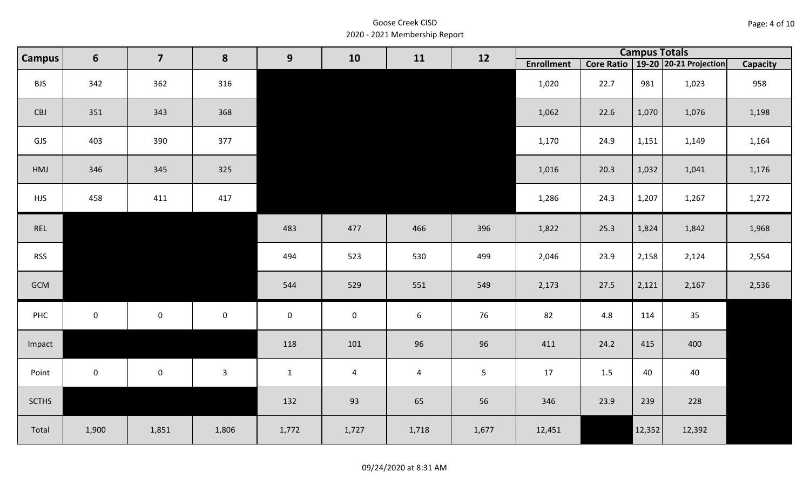| Page: 4 of 10 |  |
|---------------|--|
|---------------|--|

| $6\phantom{1}$<br><b>Campus</b> | $\overline{\mathbf{z}}$ | 8            | 9            | 10                  | 11                  | 12              |                |                   | <b>Campus Totals</b> |        |                                       |                 |
|---------------------------------|-------------------------|--------------|--------------|---------------------|---------------------|-----------------|----------------|-------------------|----------------------|--------|---------------------------------------|-----------------|
|                                 |                         |              |              |                     |                     |                 |                | <b>Enrollment</b> |                      |        | Core Ratio   19-20   20-21 Projection | <b>Capacity</b> |
| <b>BJS</b>                      | 342                     | 362          | 316          |                     |                     |                 |                | 1,020             | 22.7                 | 981    | 1,023                                 | 958             |
| CBJ                             | 351                     | 343          | 368          |                     |                     |                 |                | 1,062             | 22.6                 | 1,070  | 1,076                                 | 1,198           |
| GJS                             | 403                     | 390          | 377          |                     |                     |                 |                | 1,170             | 24.9                 | 1,151  | 1,149                                 | 1,164           |
| HMJ                             | 346                     | 345          | 325          |                     |                     |                 |                | 1,016             | 20.3                 | 1,032  | 1,041                                 | 1,176           |
| <b>HJS</b>                      | 458                     | 411          | 417          |                     |                     |                 |                | 1,286             | 24.3                 | 1,207  | 1,267                                 | 1,272           |
| REL                             |                         |              |              | 483                 | 477                 | 466             | 396            | 1,822             | 25.3                 | 1,824  | 1,842                                 | 1,968           |
| <b>RSS</b>                      |                         |              |              | 494                 | 523                 | 530             | 499            | 2,046             | 23.9                 | 2,158  | 2,124                                 | 2,554           |
| GCM                             |                         |              |              | 544                 | 529                 | 551             | 549            | 2,173             | 27.5                 | 2,121  | 2,167                                 | 2,536           |
| PHC                             | $\mathbf 0$             | $\mathsf{O}$ | $\mathbf 0$  | $\mathsf{O}\xspace$ | $\mathsf{O}\xspace$ | $6\phantom{1}6$ | 76             | 82                | 4.8                  | 114    | 35                                    |                 |
| Impact                          |                         |              |              | 118                 | 101                 | 96              | 96             | 411               | 24.2                 | 415    | 400                                   |                 |
| Point                           | $\mathbf{0}$            | $\mathbf 0$  | $\mathbf{3}$ | $\mathbf{1}$        | $\overline{a}$      | $\overline{4}$  | 5 <sub>1</sub> | 17                | 1.5                  | 40     | 40                                    |                 |
| <b>SCTHS</b>                    |                         |              |              | 132                 | 93                  | 65              | 56             | 346               | 23.9                 | 239    | 228                                   |                 |
| Total                           | 1,900                   | 1,851        | 1,806        | 1,772               | 1,727               | 1,718           | 1,677          | 12,451            |                      | 12,352 | 12,392                                |                 |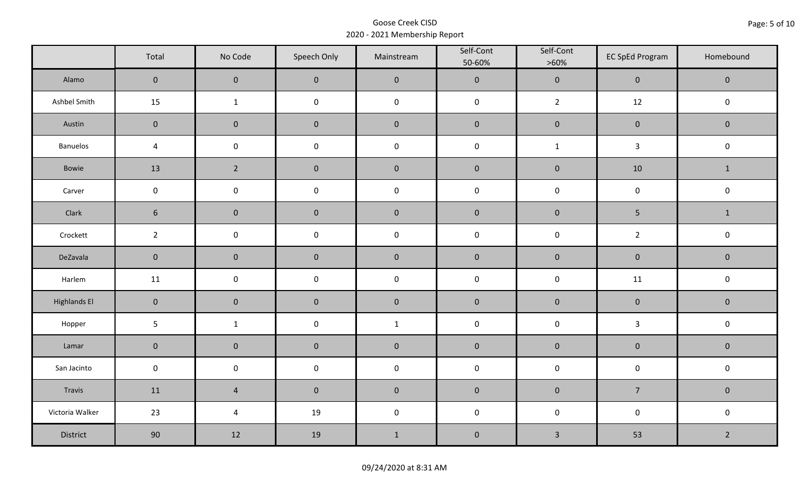|                     | Total               | No Code             | Speech Only         | Mainstream   | Self-Cont<br>50-60% | Self-Cont<br>$>60\%$ | <b>EC SpEd Program</b> | Homebound      |
|---------------------|---------------------|---------------------|---------------------|--------------|---------------------|----------------------|------------------------|----------------|
| Alamo               | $\mathsf{O}\xspace$ | $\mathbf 0$         | $\mathbf 0$         | $\pmb{0}$    | $\pmb{0}$           | $\pmb{0}$            | $\pmb{0}$              | $\mathbf 0$    |
| Ashbel Smith        | 15                  | $\mathbf{1}$        | $\mathsf{O}\xspace$ | $\pmb{0}$    | $\pmb{0}$           | $2^{\circ}$          | 12                     | $\pmb{0}$      |
| Austin              | $\mathbf 0$         | $\mathbf 0$         | $\mathbf 0$         | $\pmb{0}$    | $\pmb{0}$           | $\pmb{0}$            | $\pmb{0}$              | $\pmb{0}$      |
| <b>Banuelos</b>     | $\sqrt{4}$          | $\mathsf{O}\xspace$ | $\pmb{0}$           | $\pmb{0}$    | $\pmb{0}$           | $\mathbf 1$          | $\mathbf{3}$           | $\pmb{0}$      |
| Bowie               | 13                  | $\overline{2}$      | $\pmb{0}$           | $\pmb{0}$    | $\pmb{0}$           | $\pmb{0}$            | 10                     | $\mathbf{1}$   |
| Carver              | $\mathsf{O}\xspace$ | $\pmb{0}$           | $\pmb{0}$           | $\pmb{0}$    | $\pmb{0}$           | $\pmb{0}$            | $\pmb{0}$              | $\pmb{0}$      |
| Clark               | $6\phantom{.}6$     | $\mathbf 0$         | $\mathbf 0$         | $\pmb{0}$    | $\pmb{0}$           | $\pmb{0}$            | 5                      | $\mathbf{1}$   |
| Crockett            | $\overline{2}$      | $\mathbf 0$         | $\mathbf 0$         | $\pmb{0}$    | $\mathsf 0$         | $\mathsf 0$          | $\overline{2}$         | $\pmb{0}$      |
| DeZavala            | $\mathbf 0$         | $\mathbf 0$         | $\mathbf 0$         | $\pmb{0}$    | $\pmb{0}$           | $\pmb{0}$            | $\pmb{0}$              | $\pmb{0}$      |
| Harlem              | 11                  | $\mathsf{O}\xspace$ | $\pmb{0}$           | $\pmb{0}$    | $\pmb{0}$           | $\pmb{0}$            | 11                     | $\pmb{0}$      |
| <b>Highlands El</b> | $\overline{0}$      | $\mathbf 0$         | $\mathbf 0$         | $\pmb{0}$    | $\pmb{0}$           | $\pmb{0}$            | $\pmb{0}$              | $\mathbf 0$    |
| Hopper              | $5\phantom{.0}$     | $\mathbf{1}$        | $\pmb{0}$           | $\mathbf{1}$ | $\pmb{0}$           | $\pmb{0}$            | $\mathbf{3}$           | $\mathsf 0$    |
| Lamar               | $\mathbf 0$         | $\pmb{0}$           | $\pmb{0}$           | $\pmb{0}$    | $\pmb{0}$           | $\pmb{0}$            | $\pmb{0}$              | $\pmb{0}$      |
| San Jacinto         | $\mathsf{O}\xspace$ | $\mathbf 0$         | $\mathbf 0$         | $\pmb{0}$    | $\pmb{0}$           | $\pmb{0}$            | $\pmb{0}$              | $\pmb{0}$      |
| Travis              | 11                  | $\sqrt{4}$          | $\mathbf 0$         | $\pmb{0}$    | $\pmb{0}$           | $\pmb{0}$            | $\overline{7}$         | $\mathbf 0$    |
| Victoria Walker     | 23                  | $\pmb{4}$           | 19                  | $\pmb{0}$    | $\pmb{0}$           | $\pmb{0}$            | $\pmb{0}$              | $\pmb{0}$      |
| District            | 90                  | 12                  | 19                  | $1\,$        | $\pmb{0}$           | $\mathbf{3}$         | 53                     | $\overline{2}$ |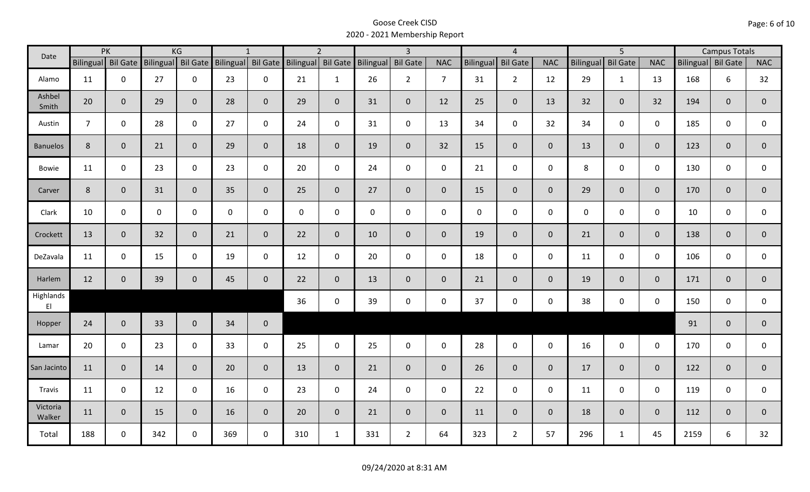| Date                                |                | PK                 |           | KG              |     | $\mathbf{1}$       |                    | $\overline{2}$ |                     | $\overline{3}$  |                |             | $\overline{4}$      |                |                  | $\overline{5}$  |                |                    | <b>Campus Totals</b> |                |
|-------------------------------------|----------------|--------------------|-----------|-----------------|-----|--------------------|--------------------|----------------|---------------------|-----------------|----------------|-------------|---------------------|----------------|------------------|-----------------|----------------|--------------------|----------------------|----------------|
|                                     |                | Bilingual Bil Gate | Bilingual | <b>Bil Gate</b> |     | Bilingual Bil Gate | Bilingual Bil Gate |                | Bilingual           | <b>Bil Gate</b> | <b>NAC</b>     | Bilingual   | <b>Bil Gate</b>     | <b>NAC</b>     | <b>Bilingual</b> | <b>Bil Gate</b> | <b>NAC</b>     | Bilingual Bil Gate |                      | <b>NAC</b>     |
| Alamo                               | 11             | $\mathbf 0$        | 27        | $\mathbf 0$     | 23  | $\mathbf 0$        | 21                 | $\mathbf{1}$   | 26                  | $2^{\circ}$     | $\overline{7}$ | 31          | $\overline{2}$      | 12             | 29               | $\mathbf{1}$    | 13             | 168                | 6                    | 32             |
| Ashbel<br>Smith                     | 20             | $\mathbf{0}$       | 29        | $\overline{0}$  | 28  | $\overline{0}$     | 29                 | $\overline{0}$ | 31                  | $\overline{0}$  | 12             | 25          | $\overline{0}$      | 13             | 32               | $\overline{0}$  | 32             | 194                | $\mathbf{0}$         | 0              |
| Austin                              | $\overline{7}$ | $\mathbf 0$        | 28        | $\mathbf 0$     | 27  | $\mathbf 0$        | 24                 | $\mathbf 0$    | 31                  | $\mathsf{O}$    | 13             | 34          | $\mathsf{O}\xspace$ | 32             | 34               | $\overline{0}$  | $\mathbf 0$    | 185                | $\mathbf 0$          | 0              |
| <b>Banuelos</b>                     | 8              | $\mathbf{0}$       | 21        | $\mathbf{0}$    | 29  | $\overline{0}$     | 18                 | $\overline{0}$ | 19                  | $\overline{0}$  | 32             | 15          | $\overline{0}$      | $\overline{0}$ | 13               | $\overline{0}$  | $\overline{0}$ | 123                | $\overline{0}$       | $\overline{0}$ |
| Bowie                               | 11             | $\mathbf 0$        | 23        | $\mathsf{O}$    | 23  | $\mathbf 0$        | 20                 | $\mathbf 0$    | 24                  | $\mathbf 0$     | $\mathbf 0$    | 21          | $\mathbf 0$         | $\mathbf 0$    | 8                | $\mathbf 0$     | $\mathbf 0$    | 130                | $\mathbf 0$          | 0              |
| Carver                              | $8\phantom{1}$ | $\mathbf{0}$       | 31        | $\mathbf 0$     | 35  | $\overline{0}$     | 25                 | $\overline{0}$ | 27                  | $\overline{0}$  | $\overline{0}$ | 15          | $\overline{0}$      | $\overline{0}$ | 29               | $\overline{0}$  | $\mathbf{0}$   | 170                | $\overline{0}$       | $\overline{0}$ |
| Clark                               | 10             | $\mathbf 0$        | 0         | $\mathbf 0$     | 0   | 0                  | $\mathbf 0$        | $\mathbf 0$    | $\mathsf{O}\xspace$ | $\mathsf{O}$    | $\mathbf 0$    | $\mathbf 0$ | $\mathsf{O}$        | $\mathbf 0$    | $\mathbf 0$      | $\mathbf 0$     | $\mathbf 0$    | 10                 | $\mathbf 0$          | 0              |
| Crockett                            | 13             | $\mathbf{0}$       | 32        | $\mathbf{0}$    | 21  | $\overline{0}$     | 22                 | $\overline{0}$ | 10                  | $\overline{0}$  | $\overline{0}$ | 19          | $\overline{0}$      | $\overline{0}$ | 21               | $\overline{0}$  | $\mathbf{0}$   | 138                | $\overline{0}$       | $\overline{0}$ |
| DeZavala                            | 11             | $\mathbf 0$        | 15        | $\mathbf 0$     | 19  | $\mathbf 0$        | 12                 | $\mathbf 0$    | 20                  | $\mathsf{O}$    | $\mathbf 0$    | 18          | $\mathbf 0$         | $\mathbf 0$    | 11               | $\mathbf 0$     | $\mathbf 0$    | 106                | $\mathbf 0$          | $\mathbf 0$    |
| Harlem                              | 12             | $\mathbf{0}$       | 39        | $\mathbf 0$     | 45  | $\mathbf 0$        | 22                 | $\overline{0}$ | 13                  | $\overline{0}$  | $\overline{0}$ | 21          | $\overline{0}$      | $\overline{0}$ | 19               | $\overline{0}$  | $\overline{0}$ | 171                | $\mathbf{0}$         | $\mathbf{0}$   |
| Highlands<br>$\mathsf{E}\mathsf{I}$ |                |                    |           |                 |     |                    | 36                 | $\mathbf 0$    | 39                  | $\mathsf{O}$    | $\mathbf 0$    | 37          | $\mathbf 0$         | $\mathsf{O}$   | 38               | $\mathbf 0$     | $\mathbf 0$    | 150                | $\mathbf 0$          | $\mathbf 0$    |
| Hopper                              | 24             | $\mathbf{0}$       | 33        | $\overline{0}$  | 34  | $\mathbf 0$        |                    |                |                     |                 |                |             |                     |                |                  |                 |                | 91                 | $\mathbf{0}$         | $\mathbf 0$    |
| Lamar                               | 20             | $\mathbf 0$        | 23        | $\mathbf 0$     | 33  | $\mathbf 0$        | 25                 | $\mathbf 0$    | 25                  | $\mathbf 0$     | $\mathbf 0$    | 28          | $\mathbf 0$         | $\mathsf{O}$   | 16               | $\mathbf 0$     | $\mathbf 0$    | 170                | $\mathbf 0$          | $\mathbf 0$    |
| San Jacinto                         | 11             | $\mathbf{0}$       | 14        | $\mathbf{0}$    | 20  | $\mathbf{0}$       | 13                 | $\overline{0}$ | 21                  | $\overline{0}$  | $\mathbf{0}$   | 26          | $\mathbf 0$         | $\overline{0}$ | 17               | $\overline{0}$  | $\mathbf{0}$   | 122                | $\mathbf{0}$         | $\overline{0}$ |
| Travis                              | 11             | $\mathbf 0$        | 12        | $\mathbf 0$     | 16  | $\mathbf 0$        | 23                 | $\mathbf 0$    | 24                  | $\mathbf 0$     | $\mathbf 0$    | 22          | $\mathbf 0$         | $\mathbf 0$    | 11               | $\mathbf 0$     | $\mathbf 0$    | 119                | $\mathbf 0$          | $\mathbf 0$    |
| Victoria<br>Walker                  | 11             | $\mathbf 0$        | 15        | $\mathbf 0$     | 16  | $\mathbf{0}$       | 20                 | $\overline{0}$ | 21                  | $\overline{0}$  | $\mathbf 0$    | 11          | $\overline{0}$      | $\overline{0}$ | 18               | $\mathbf{0}$    | $\mathbf{0}$   | 112                | $\overline{0}$       | $\mathbf{0}$   |
| Total                               | 188            | $\Omega$           | 342       | $\mathbf 0$     | 369 | $\mathbf 0$        | 310                | $\mathbf{1}$   | 331                 | $2^{\circ}$     | 64             | 323         | $2^{\circ}$         | 57             | 296              | $\mathbf{1}$    | 45             | 2159               | 6                    | 32             |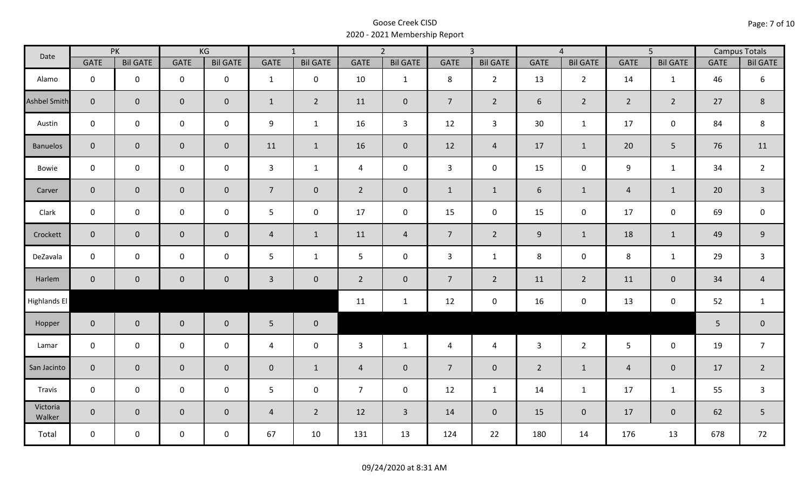| Date                |                | PK              |                     | KG              |                 | $\overline{1}$  |                | $\overline{2}$  |                 | $\overline{3}$  |                | $\overline{4}$  |                | $\overline{5}$      |             | <b>Campus Totals</b> |
|---------------------|----------------|-----------------|---------------------|-----------------|-----------------|-----------------|----------------|-----------------|-----------------|-----------------|----------------|-----------------|----------------|---------------------|-------------|----------------------|
|                     | <b>GATE</b>    | <b>Bil GATE</b> | <b>GATE</b>         | <b>Bil GATE</b> | GATE            | <b>Bil GATE</b> | <b>GATE</b>    | <b>Bil GATE</b> | <b>GATE</b>     | <b>Bil GATE</b> | <b>GATE</b>    | <b>Bil GATE</b> | <b>GATE</b>    | <b>Bil GATE</b>     | <b>GATE</b> | <b>Bil GATE</b>      |
| Alamo               | $\mathbf 0$    | $\mathbf 0$     | $\mathbf 0$         | $\mathbf 0$     | $\mathbf{1}$    | $\mathbf 0$     | 10             | $\mathbf{1}$    | 8               | $2^{\circ}$     | 13             | $\overline{2}$  | 14             | $\mathbf{1}$        | 46          | 6                    |
| <b>Ashbel Smith</b> | $\overline{0}$ | $\mathbf{0}$    | $\mathbf 0$         | $\overline{0}$  | $\mathbf{1}$    | $\overline{2}$  | 11             | $\mathbf 0$     | $7\overline{ }$ | $2^{\circ}$     | 6              | $\overline{2}$  | $\overline{2}$ | $\overline{2}$      | 27          | 8                    |
| Austin              | $\mathsf{O}$   | $\mathbf 0$     | $\mathbf 0$         | $\mathbf 0$     | 9               | $\mathbf{1}$    | 16             | $\mathbf{3}$    | 12              | $\mathbf{3}$    | 30             | $\mathbf{1}$    | 17             | $\mathsf{O}$        | 84          | $\,8\,$              |
| <b>Banuelos</b>     | $\overline{0}$ | $\overline{0}$  | $\mathsf{O}\xspace$ | $\overline{0}$  | 11              | $\mathbf{1}$    | 16             | $\mathbf 0$     | 12              | $\overline{4}$  | 17             | $\mathbf{1}$    | 20             | 5                   | 76          | 11                   |
| Bowie               | $\mathbf 0$    | $\mathbf 0$     | $\mathbf 0$         | $\mathbf 0$     | $\mathbf{3}$    | $\mathbf{1}$    | $\overline{4}$ | $\mathbf 0$     | $\mathbf{3}$    | $\mathbf 0$     | 15             | $\mathsf{O}$    | 9              | $\mathbf{1}$        | 34          | $\overline{2}$       |
| Carver              | $\overline{0}$ | $\mathbf{0}$    | $\mathbf 0$         | $\overline{0}$  | $7\overline{ }$ | $\mathbf 0$     | $2^{\circ}$    | $\mathbf 0$     | $\mathbf{1}$    | $\mathbf{1}$    | 6              | $\mathbf{1}$    | $\overline{4}$ | $\mathbf{1}$        | 20          | $\overline{3}$       |
| Clark               | $\mathbf 0$    | $\mathbf 0$     | $\mathbf 0$         | $\mathbf 0$     | 5 <sub>1</sub>  | $\mathbf 0$     | 17             | $\mathbf 0$     | 15              | $\mathbf 0$     | 15             | $\mathbf 0$     | 17             | $\mathbf 0$         | 69          | $\mathbf 0$          |
| Crockett            | $\overline{0}$ | $\mathbf 0$     | $\mathbf 0$         | $\overline{0}$  | $\overline{4}$  | $\mathbf{1}$    | 11             | $\overline{4}$  | 7 <sup>7</sup>  | $2^{\circ}$     | 9              | $\mathbf{1}$    | 18             | $\mathbf{1}$        | 49          | $9\,$                |
| DeZavala            | $\mathbf 0$    | $\mathbf 0$     | $\mathsf 0$         | $\mathbf 0$     | 5               | $\mathbf{1}$    | 5 <sup>5</sup> | $\mathbf 0$     | $\mathbf{3}$    | $\mathbf{1}$    | 8              | $\mathbf 0$     | 8              | $\mathbf{1}$        | 29          | $\mathsf{3}$         |
| Harlem              | $\overline{0}$ | $\mathbf 0$     | $\pmb{0}$           | $\mathbf 0$     | $\mathbf{3}$    | $\overline{0}$  | $\overline{2}$ | $\mathbf 0$     | 7 <sup>7</sup>  | $\overline{2}$  | 11             | $2^{\circ}$     | 11             | $\mathbf{0}$        | 34          | $\overline{4}$       |
| Highlands El        |                |                 |                     |                 |                 |                 | 11             | $\mathbf{1}$    | 12              | $\mathbf 0$     | 16             | 0               | 13             | $\mathsf{O}\xspace$ | 52          | $\mathbf{1}$         |
| Hopper              | $\overline{0}$ | $\overline{0}$  | $\mathbf 0$         | $\mathbf 0$     | $5\phantom{.}$  | $\mathbf 0$     |                |                 |                 |                 |                |                 |                |                     | 5           | $\pmb{0}$            |
| Lamar               | $\mathbf 0$    | $\mathbf 0$     | $\mathbf 0$         | $\mathbf 0$     | 4               | $\mathbf 0$     | $\mathbf{3}$   | $\mathbf{1}$    | 4               | $\overline{4}$  | $\mathbf{3}$   | $2^{\circ}$     | $5\phantom{.}$ | $\mathbf 0$         | 19          | $\overline{7}$       |
| San Jacinto         | $\overline{0}$ | $\overline{0}$  | $\mathbf 0$         | $\mathbf 0$     | $\mathbf{0}$    | $\mathbf{1}$    | $\overline{4}$ | $\mathbf 0$     | $\overline{7}$  | $\overline{0}$  | $\overline{2}$ | $\mathbf{1}$    | $\overline{4}$ | $\mathbf{0}$        | 17          | $\overline{2}$       |
| Travis              | $\mathbf 0$    | $\mathbf 0$     | $\mathbf 0$         | $\mathbf 0$     | 5 <sub>1</sub>  | $\mathbf 0$     | $\overline{7}$ | $\mathbf 0$     | 12              | $\mathbf{1}$    | 14             | $\mathbf{1}$    | 17             | $\mathbf{1}$        | 55          | $\mathbf{3}$         |
| Victoria<br>Walker  | $\overline{0}$ | $\overline{0}$  | $\pmb{0}$           | $\mathbf 0$     | $\overline{4}$  | $\overline{2}$  | 12             | $\mathbf{3}$    | 14              | $\overline{0}$  | 15             | $\overline{0}$  | 17             | $\overline{0}$      | 62          | 5                    |
| Total               | $\mathsf{O}$   | $\mathbf 0$     | $\mathbf 0$         | $\mathbf 0$     | 67              | 10              | 131            | 13              | 124             | 22              | 180            | 14              | 176            | 13                  | 678         | 72                   |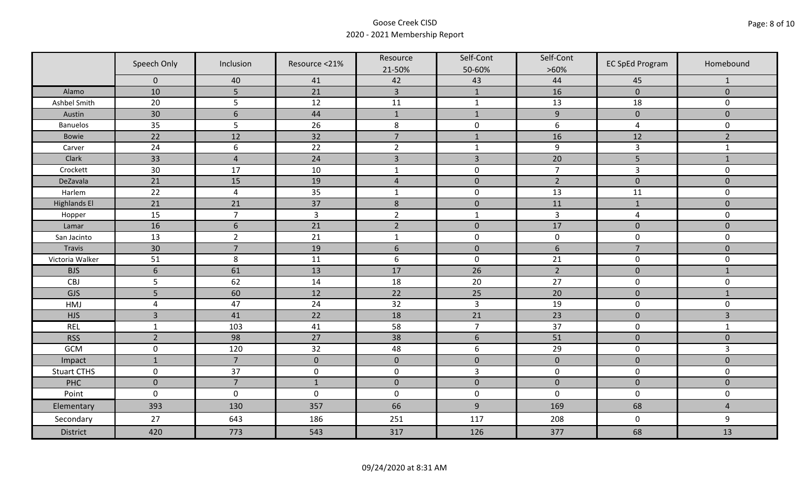|                     | Speech Only         | Inclusion       | Resource <21%   | Resource<br>21-50% | Self-Cont<br>50-60% | Self-Cont<br>$>60\%$ | <b>EC SpEd Program</b> | Homebound      |
|---------------------|---------------------|-----------------|-----------------|--------------------|---------------------|----------------------|------------------------|----------------|
|                     | $\mathbf 0$         | 40              | 41              | 42                 | 43                  | 44                   | 45                     | $\mathbf{1}$   |
| Alamo               | 10                  | 5               | 21              | $\overline{3}$     | $\mathbf{1}$        | 16                   | $\pmb{0}$              | $\mathbf 0$    |
| Ashbel Smith        | 20                  | 5               | 12              | 11                 | $\mathbf{1}$        | 13                   | 18                     | 0              |
| Austin              | 30                  | $6\phantom{1}6$ | 44              | $1\,$              | $\mathbf{1}$        | $\overline{9}$       | $\pmb{0}$              | $\overline{0}$ |
| <b>Banuelos</b>     | 35                  | 5               | 26              | $\,8\,$            | $\pmb{0}$           | 6                    | $\overline{a}$         | 0              |
| <b>Bowie</b>        | 22                  | 12              | 32              | $\overline{7}$     | $1\,$               | 16                   | 12                     | $\overline{2}$ |
| Carver              | 24                  | 6               | 22              | $\overline{2}$     | $\mathbf{1}$        | $\boldsymbol{9}$     | $\overline{3}$         | $\mathbf{1}$   |
| Clark               | 33                  | $\overline{4}$  | 24              | $\overline{3}$     | $\overline{3}$      | 20                   | 5                      | $1\,$          |
| Crockett            | 30                  | 17              | 10              | $\mathbf{1}$       | $\pmb{0}$           | $\overline{7}$       | 3                      | 0              |
| DeZavala            | 21                  | 15              | 19              | $\sqrt{4}$         | $\pmb{0}$           | $\overline{2}$       | $\pmb{0}$              | $\overline{0}$ |
| Harlem              | 22                  | $\overline{4}$  | 35              | $\mathbf 1$        | $\pmb{0}$           | 13                   | 11                     | 0              |
| <b>Highlands El</b> | 21                  | 21              | $\overline{37}$ | $\,$ 8 $\,$        | $\pmb{0}$           | 11                   | $1\,$                  | $\overline{0}$ |
| Hopper              | 15                  | $\overline{7}$  | $\overline{3}$  | $\overline{2}$     | $\mathbf{1}$        | $\mathsf{3}$         | $\overline{a}$         | 0              |
| Lamar               | 16                  | $6\phantom{1}6$ | 21              | $\overline{2}$     | $\pmb{0}$           | 17                   | $\pmb{0}$              | $\mathbf 0$    |
| San Jacinto         | 13                  | $\overline{2}$  | 21              | $\mathbf{1}$       | $\pmb{0}$           | $\pmb{0}$            | $\mathbf 0$            | 0              |
| Travis              | 30                  | $\overline{7}$  | 19              | $6\,$              | $\pmb{0}$           | $\sqrt{6}$           | $\overline{7}$         | $\mathbf 0$    |
| Victoria Walker     | 51                  | 8               | 11              | $\boldsymbol{6}$   | $\pmb{0}$           | 21                   | $\pmb{0}$              | 0              |
| <b>BJS</b>          | $6\phantom{1}6$     | 61              | 13              | 17                 | 26                  | $\overline{2}$       | $\pmb{0}$              | $\mathbf{1}$   |
| CBJ                 | 5                   | 62              | 14              | 18                 | 20                  | 27                   | $\pmb{0}$              | 0              |
| GJS                 | 5                   | 60              | 12              | 22                 | 25                  | 20                   | $\mathbf 0$            | $\mathbf{1}$   |
| HMJ                 | $\overline{4}$      | 47              | 24              | 32                 | $\overline{3}$      | 19                   | $\pmb{0}$              | 0              |
| <b>HJS</b>          | $\overline{3}$      | 41              | 22              | 18                 | 21                  | 23                   | $\pmb{0}$              | 3              |
| <b>REL</b>          | $\mathbf{1}$        | 103             | 41              | 58                 | $\overline{7}$      | 37                   | $\pmb{0}$              | $\mathbf{1}$   |
| <b>RSS</b>          | $\overline{2}$      | 98              | 27              | 38                 | $\sqrt{6}$          | 51                   | $\pmb{0}$              | $\mathbf{0}$   |
| GCM                 | $\mathsf{O}\xspace$ | 120             | 32              | 48                 | $\boldsymbol{6}$    | 29                   | $\pmb{0}$              | $\overline{3}$ |
| Impact              | $\mathbf{1}$        | $\overline{7}$  | $\mathbf{0}$    | $\mathbf 0$        | $\pmb{0}$           | $\pmb{0}$            | $\mathbf 0$            | $\overline{0}$ |
| <b>Stuart CTHS</b>  | $\mathsf 0$         | 37              | $\pmb{0}$       | $\pmb{0}$          | $\overline{3}$      | $\pmb{0}$            | $\pmb{0}$              | 0              |
| PHC                 | $\mathbf 0$         | $\overline{7}$  | $1\,$           | $\pmb{0}$          | $\pmb{0}$           | $\pmb{0}$            | $\pmb{0}$              | $\pmb{0}$      |
| Point               | $\mathbf 0$         | $\mathbf 0$     | $\mathbf 0$     | $\boldsymbol{0}$   | $\pmb{0}$           | $\mathbf 0$          | $\mathbf 0$            | 0              |
| Elementary          | 393                 | 130             | 357             | 66                 | $9\,$               | 169                  | 68                     | $\overline{4}$ |
| Secondary           | 27                  | 643             | 186             | 251                | 117                 | 208                  | $\mathbf 0$            | 9              |
| <b>District</b>     | 420                 | 773             | 543             | 317                | 126                 | 377                  | 68                     | 13             |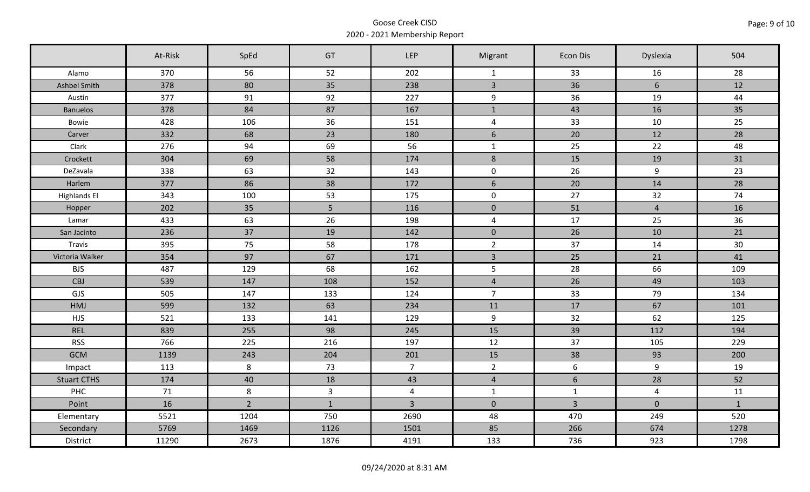|                     | At-Risk | SpEd           | GT           | <b>LEP</b>     | Migrant        | Econ Dis        | Dyslexia       | 504          |
|---------------------|---------|----------------|--------------|----------------|----------------|-----------------|----------------|--------------|
| Alamo               | 370     | 56             | 52           | 202            | $\mathbf{1}$   | 33              | 16             | 28           |
| Ashbel Smith        | 378     | 80             | 35           | 238            | $\overline{3}$ | 36              | 6              | 12           |
| Austin              | 377     | 91             | 92           | 227            | 9              | 36              | 19             | 44           |
| <b>Banuelos</b>     | 378     | 84             | 87           | 167            | $\mathbf{1}$   | 43              | 16             | 35           |
| Bowie               | 428     | 106            | 36           | 151            | $\overline{a}$ | 33              | 10             | 25           |
| Carver              | 332     | 68             | 23           | 180            | 6              | 20              | 12             | 28           |
| Clark               | 276     | 94             | 69           | 56             | $\mathbf{1}$   | 25              | 22             | 48           |
| Crockett            | 304     | 69             | 58           | 174            | $\,8\,$        | 15              | 19             | 31           |
| DeZavala            | 338     | 63             | 32           | 143            | $\mathbf 0$    | 26              | 9              | 23           |
| Harlem              | 377     | 86             | 38           | 172            | $6\,$          | 20              | 14             | 28           |
| <b>Highlands El</b> | 343     | 100            | 53           | 175            | $\mathbf 0$    | 27              | 32             | 74           |
| Hopper              | 202     | 35             | 5            | 116            | $\mathbf 0$    | 51              | $\overline{4}$ | 16           |
| Lamar               | 433     | 63             | 26           | 198            | $\overline{4}$ | 17              | 25             | 36           |
| San Jacinto         | 236     | 37             | 19           | 142            | $\overline{0}$ | 26              | 10             | 21           |
| Travis              | 395     | 75             | 58           | 178            | $\overline{2}$ | 37              | 14             | 30           |
| Victoria Walker     | 354     | 97             | 67           | 171            | $\mathbf{3}$   | 25              | 21             | 41           |
| <b>BJS</b>          | 487     | 129            | 68           | 162            | 5              | 28              | 66             | 109          |
| <b>CBJ</b>          | 539     | 147            | 108          | 152            | $\overline{4}$ | 26              | 49             | 103          |
| GJS                 | 505     | 147            | 133          | 124            | $\overline{7}$ | 33              | 79             | 134          |
| HMJ                 | 599     | 132            | 63           | 234            | 11             | 17              | 67             | 101          |
| <b>HJS</b>          | 521     | 133            | 141          | 129            | 9              | 32              | 62             | 125          |
| <b>REL</b>          | 839     | 255            | 98           | 245            | 15             | 39              | 112            | 194          |
| <b>RSS</b>          | 766     | 225            | 216          | 197            | 12             | 37              | 105            | 229          |
| <b>GCM</b>          | 1139    | 243            | 204          | 201            | 15             | 38              | 93             | 200          |
| Impact              | 113     | 8              | 73           | $\overline{7}$ | $2^{\circ}$    | $6\phantom{.}6$ | $\overline{9}$ | 19           |
| <b>Stuart CTHS</b>  | 174     | 40             | 18           | 43             | $\overline{4}$ | 6               | 28             | 52           |
| <b>PHC</b>          | 71      | 8              | $\mathbf{3}$ | $\overline{4}$ | $\mathbf{1}$   | $\mathbf{1}$    | $\overline{4}$ | 11           |
| Point               | 16      | $\overline{2}$ | $\mathbf{1}$ | $\overline{3}$ | $\overline{0}$ | $\overline{3}$  | $\mathbf 0$    | $\mathbf{1}$ |
| Elementary          | 5521    | 1204           | 750          | 2690           | 48             | 470             | 249            | 520          |
| Secondary           | 5769    | 1469           | 1126         | 1501           | 85             | 266             | 674            | 1278         |
| District            | 11290   | 2673           | 1876         | 4191           | 133            | 736             | 923            | 1798         |